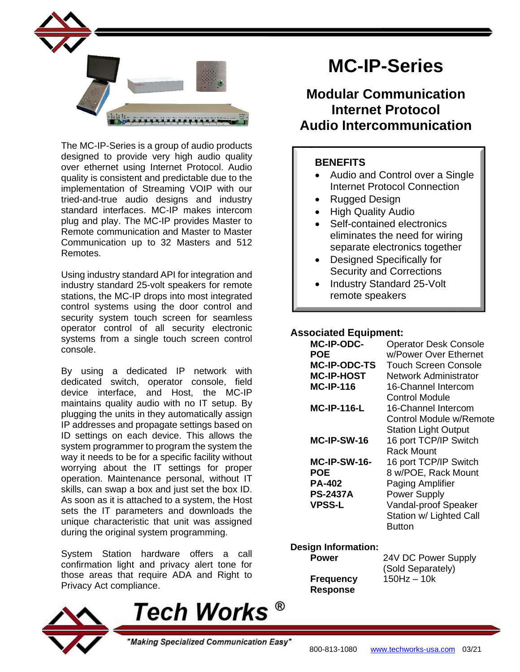

The MC-IP-Series is a group of audio products designed to provide very high audio quality over ethernet using Internet Protocol. Audio quality is consistent and predictable due to the implementation of Streaming VOIP with our tried-and-true audio designs and industry standard interfaces. MC-IP makes intercom plug and play. The MC-IP provides Master to Remote communication and Master to Master Communication up to 32 Masters and 512 Remotes.

Using industry standard API for integration and industry standard 25-volt speakers for remote stations, the MC-IP drops into most integrated control systems using the door control and security system touch screen for seamless operator control of all security electronic systems from a single touch screen control console.

By using a dedicated IP network with dedicated switch, operator console, field device interface, and Host, the MC-IP maintains quality audio with no IT setup. By plugging the units in they automatically assign IP addresses and propagate settings based on ID settings on each device. This allows the system programmer to program the system the way it needs to be for a specific facility without worrying about the IT settings for proper operation. Maintenance personal, without IT skills, can swap a box and just set the box ID. As soon as it is attached to a system, the Host sets the IT parameters and downloads the unique characteristic that unit was assigned during the original system programming.

System Station hardware offers a call confirmation light and privacy alert tone for those areas that require ADA and Right to Privacy Act compliance.





**MC-IP-Series**

# **Modular Communication Internet Protocol Audio Intercommunication**

## **BENEFITS**

- Audio and Control over a Single Internet Protocol Connection
- Rugged Design
- High Quality Audio
- Self-contained electronics eliminates the need for wiring separate electronics together
- Designed Specifically for Security and Corrections
- Industry Standard 25-Volt remote speakers

## **Associated Equipment:**

| <b>MC-IP-ODC-</b><br><b>POE</b>                                                        | <b>Operator Desk Console</b><br>w/Power Over Ethernet                                                                                                                          |
|----------------------------------------------------------------------------------------|--------------------------------------------------------------------------------------------------------------------------------------------------------------------------------|
| <b>MC-IP-ODC-TS</b><br><b>MC-IP-HOST</b><br><b>MC-IP-116</b><br><b>MC-IP-116-L</b>     | Touch Screen Console<br>Network Administrator<br>16-Channel Intercom<br><b>Control Module</b><br>16-Channel Intercom<br>Control Module w/Remote<br><b>Station Light Output</b> |
| <b>MC-IP-SW-16</b>                                                                     | 16 port TCP/IP Switch<br><b>Rack Mount</b>                                                                                                                                     |
| <b>MC-IP-SW-16-</b><br><b>POE</b><br><b>PA-402</b><br><b>PS-2437A</b><br><b>VPSS-L</b> | 16 port TCP/IP Switch<br>8 w/POE, Rack Mount<br>Paging Amplifier<br><b>Power Supply</b><br>Vandal-proof Speaker<br>Station w/ Lighted Call<br><b>Button</b>                    |
| <b>Design Information:</b><br>Power                                                    | 24V DC Power Supply<br>(Sold Separately)                                                                                                                                       |

|                  | (Sold Separately) |
|------------------|-------------------|
| <b>Frequency</b> | $150$ Hz $-10k$   |
| <b>Response</b>  |                   |

"Making Specialized Communication Easy"